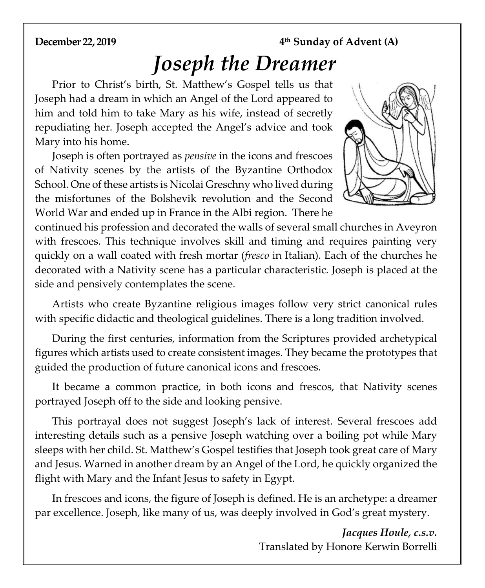### **December 22, 2019 4<sup>th</sup> Sunday of Advent (A)**

# *Joseph the Dreamer*

Prior to Christ's birth, St. Matthew's Gospel tells us that Joseph had a dream in which an Angel of the Lord appeared to him and told him to take Mary as his wife, instead of secretly repudiating her. Joseph accepted the Angel's advice and took Mary into his home.

Joseph is often portrayed as *pensive* in the icons and frescoes of Nativity scenes by the artists of the Byzantine Orthodox School. One of these artists is Nicolai Greschny who lived during the misfortunes of the Bolshevik revolution and the Second World War and ended up in France in the Albi region. There he



continued his profession and decorated the walls of several small churches in Aveyron with frescoes. This technique involves skill and timing and requires painting very quickly on a wall coated with fresh mortar (*fresco* in Italian). Each of the churches he decorated with a Nativity scene has a particular characteristic. Joseph is placed at the side and pensively contemplates the scene.

Artists who create Byzantine religious images follow very strict canonical rules with specific didactic and theological guidelines. There is a long tradition involved.

During the first centuries, information from the Scriptures provided archetypical figures which artists used to create consistent images. They became the prototypes that guided the production of future canonical icons and frescoes.

It became a common practice, in both icons and frescos, that Nativity scenes portrayed Joseph off to the side and looking pensive.

This portrayal does not suggest Joseph's lack of interest. Several frescoes add interesting details such as a pensive Joseph watching over a boiling pot while Mary sleeps with her child. St. Matthew's Gospel testifies that Joseph took great care of Mary and Jesus. Warned in another dream by an Angel of the Lord, he quickly organized the flight with Mary and the Infant Jesus to safety in Egypt.

In frescoes and icons, the figure of Joseph is defined. He is an archetype: a dreamer par excellence. Joseph, like many of us, was deeply involved in God's great mystery.

> *Jacques Houle, c.s.v.*  Translated by Honore Kerwin Borrelli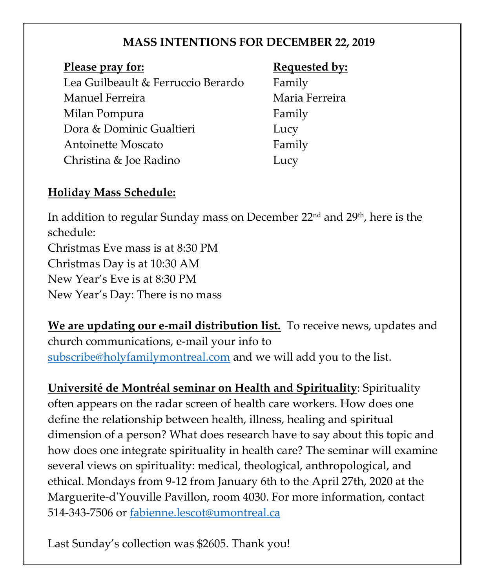## **MASS INTENTIONS FOR DECEMBER 22, 2019**

### **Please pray for: Requested by: Requested by:**

Lea Guilbeault & Ferruccio Berardo Family Manuel Ferreira **Maria Ferreira** Milan Pompura Family Dora & Dominic Gualtieri Lucy Antoinette Moscato Family Christina & Joe Radino Lucy

# **Holiday Mass Schedule:**

In addition to regular Sunday mass on December 22<sup>nd</sup> and 29<sup>th</sup>, here is the schedule:

Christmas Eve mass is at 8:30 PM Christmas Day is at 10:30 AM New Year's Eve is at 8:30 PM New Year's Day: There is no mass

**We are updating our e-mail distribution list.** To receive news, updates and church communications, e-mail your info to [subscribe@holyfamilymontreal.com](mailto:subscribe@holyfamilymontreal.com) and we will add you to the list.

**Université de Montréal seminar on Health and Spirituality**: Spirituality often appears on the radar screen of health care workers. How does one define the relationship between health, illness, healing and spiritual dimension of a person? What does research have to say about this topic and how does one integrate spirituality in health care? The seminar will examine several views on spirituality: medical, theological, anthropological, and ethical. Mondays from 9-12 from January 6th to the April 27th, 2020 at the Marguerite-d'Youville Pavillon, room 4030. For more information, contact 514-343-7506 or [fabienne.lescot@umontreal.ca](mailto:fabienne.lescot@umontreal.ca)

Last Sunday's collection was \$2605. Thank you!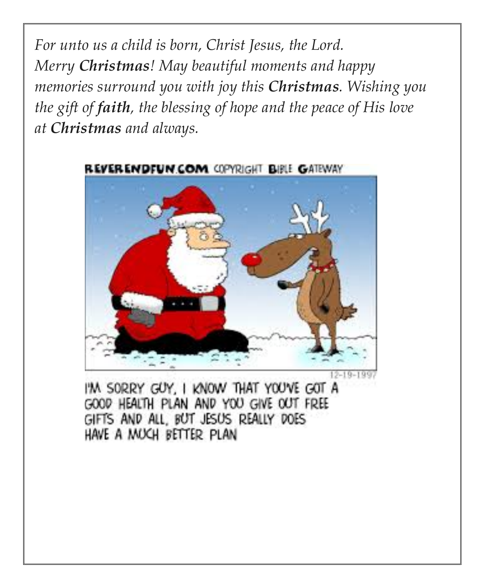*For unto us a child is born, Christ Jesus, the Lord. Merry Christmas! May beautiful moments and happy memories surround you with joy this Christmas. Wishing you the gift of faith, the blessing of hope and the peace of His love at Christmas and always.*



REVERENDFUN COM COPYRIGHT BIBLE GATEWAY

I'M SORRY GUY, I KNOW THAT YOU'VE GOT A GOOD HEALTH PLAN AND YOU GIVE OUT FREE GIFTS AND ALL, BUT JESUS REALLY DOES HAVE A MUCH BETTER PLAN